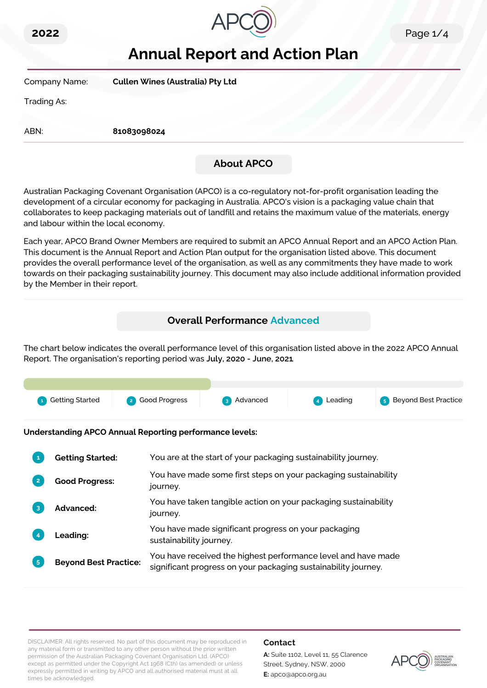



# **Annual Report and Action Plan**

| Company Name: | <b>Cullen Wines (Australia) Pty Ltd</b> |
|---------------|-----------------------------------------|
| Trading As:   |                                         |
|               |                                         |

ABN: **81083098024**

# **About APCO**

Australian Packaging Covenant Organisation (APCO) is a co-regulatory not-for-profit organisation leading the development of a circular economy for packaging in Australia. APCO's vision is a packaging value chain that collaborates to keep packaging materials out of landfill and retains the maximum value of the materials, energy and labour within the local economy.

Each year, APCO Brand Owner Members are required to submit an APCO Annual Report and an APCO Action Plan. This document is the Annual Report and Action Plan output for the organisation listed above. This document provides the overall performance level of the organisation, as well as any commitments they have made to work towards on their packaging sustainability journey. This document may also include additional information provided by the Member in their report.

# **Overall Performance Advanced**

The chart below indicates the overall performance level of this organisation listed above in the 2022 APCO Annual Report. The organisation's reporting period was **July, 2020 - June, 2021**.

| <b>1</b> Getting Started | 2 Good Progress | 3 Advanced | 4 Leading | <b>5</b> Beyond Best Practice |
|--------------------------|-----------------|------------|-----------|-------------------------------|

**Understanding APCO Annual Reporting performance levels:**

| 1              | <b>Getting Started:</b>      | You are at the start of your packaging sustainability journey.                                                                  |  |
|----------------|------------------------------|---------------------------------------------------------------------------------------------------------------------------------|--|
| $\overline{2}$ | <b>Good Progress:</b>        | You have made some first steps on your packaging sustainability<br>journey.                                                     |  |
| 3              | Advanced:                    | You have taken tangible action on your packaging sustainability<br>journey.                                                     |  |
|                | Leading:                     | You have made significant progress on your packaging<br>sustainability journey.                                                 |  |
| 5 <sup>1</sup> | <b>Beyond Best Practice:</b> | You have received the highest performance level and have made<br>significant progress on your packaging sustainability journey. |  |

DISCLAIMER: All rights reserved. No part of this document may be reproduced in any material form or transmitted to any other person without the prior written permission of the Australian Packaging Covenant Organisation Ltd. (APCO) except as permitted under the Copyright Act 1968 (Cth) (as amended) or unless expressly permitted in writing by APCO and all authorised material must at all times be acknowledged.

## **Contact**

**A:** Suite 1102, Level 11, 55 Clarence Street, Sydney, NSW, 2000 **E:** apco@apco.org.au

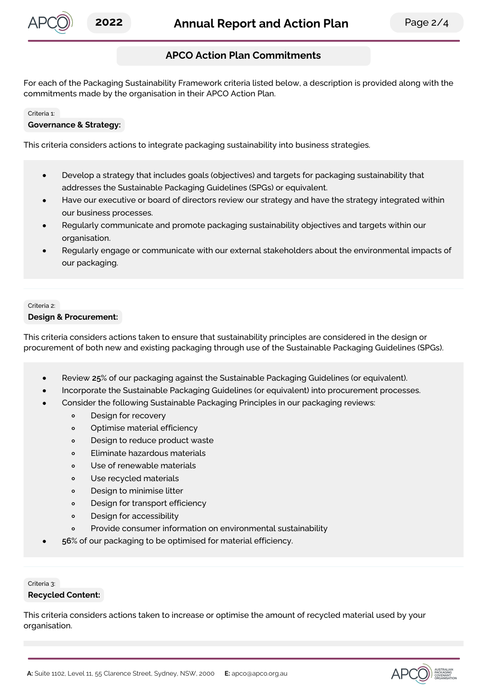

# **APCO Action Plan Commitments**

For each of the Packaging Sustainability Framework criteria listed below, a description is provided along with the commitments made by the organisation in their APCO Action Plan.

#### Criteria 1:

#### **Governance & Strategy:**

This criteria considers actions to integrate packaging sustainability into business strategies.

- Develop a strategy that includes goals (objectives) and targets for packaging sustainability that  $\bullet$ addresses the Sustainable Packaging Guidelines (SPGs) or equivalent.
- Have our executive or board of directors review our strategy and have the strategy integrated within our business processes.
- Regularly communicate and promote packaging sustainability objectives and targets within our organisation.
- Regularly engage or communicate with our external stakeholders about the environmental impacts of our packaging.

#### Criteria 2:

#### **Design & Procurement:**

This criteria considers actions taken to ensure that sustainability principles are considered in the design or procurement of both new and existing packaging through use of the Sustainable Packaging Guidelines (SPGs).

- Review **25**% of our packaging against the Sustainable Packaging Guidelines (or equivalent).
- Incorporate the Sustainable Packaging Guidelines (or equivalent) into procurement processes.
- Consider the following Sustainable Packaging Principles in our packaging reviews:
	- $\circ$ Design for recovery
	- Optimise material efficiency  $\circ$
	- Design to reduce product waste  $\circ$
	- Eliminate hazardous materials  $\circ$
	- $\circ$ Use of renewable materials
	- Use recycled materials  $\circ$
	- Design to minimise litter  $\circ$
	- $\circ$ Design for transport efficiency
	- $\circ$ Design for accessibility
	- Provide consumer information on environmental sustainability  $\circ$
- **56**% of our packaging to be optimised for material efficiency.

Criteria 3:

#### **Recycled Content:**

This criteria considers actions taken to increase or optimise the amount of recycled material used by your organisation.

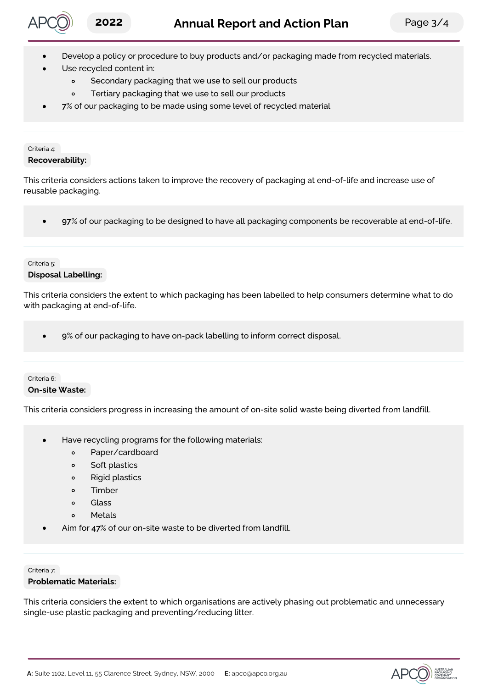

- Develop a policy or procedure to buy products and/or packaging made from recycled materials.
- Use recycled content in:
	- $\circ$ Secondary packaging that we use to sell our products
	- Tertiary packaging that we use to sell our products  $\circ$
- **7**% of our packaging to be made using some level of recycled material

# Criteria 4:

## **Recoverability:**

This criteria considers actions taken to improve the recovery of packaging at end-of-life and increase use of reusable packaging.

**97**% of our packaging to be designed to have all packaging components be recoverable at end-of-life.

#### Criteria 5:

## **Disposal Labelling:**

This criteria considers the extent to which packaging has been labelled to help consumers determine what to do with packaging at end-of-life.

**9**% of our packaging to have on-pack labelling to inform correct disposal.  $\bullet$ 

## Criteria 6: **On-site Waste:**

This criteria considers progress in increasing the amount of on-site solid waste being diverted from landfill.

- Have recycling programs for the following materials:
	- Paper/cardboard  $\circ$
	- Soft plastics  $\circ$
	- Rigid plastics  $\circ$
	- $\circ$ Timber
	- Glass  $\circ$
	- Metals  $\circ$
- Aim for **47**% of our on-site waste to be diverted from landfill.

#### Criteria 7:

## **Problematic Materials:**

This criteria considers the extent to which organisations are actively phasing out problematic and unnecessary single-use plastic packaging and preventing/reducing litter.